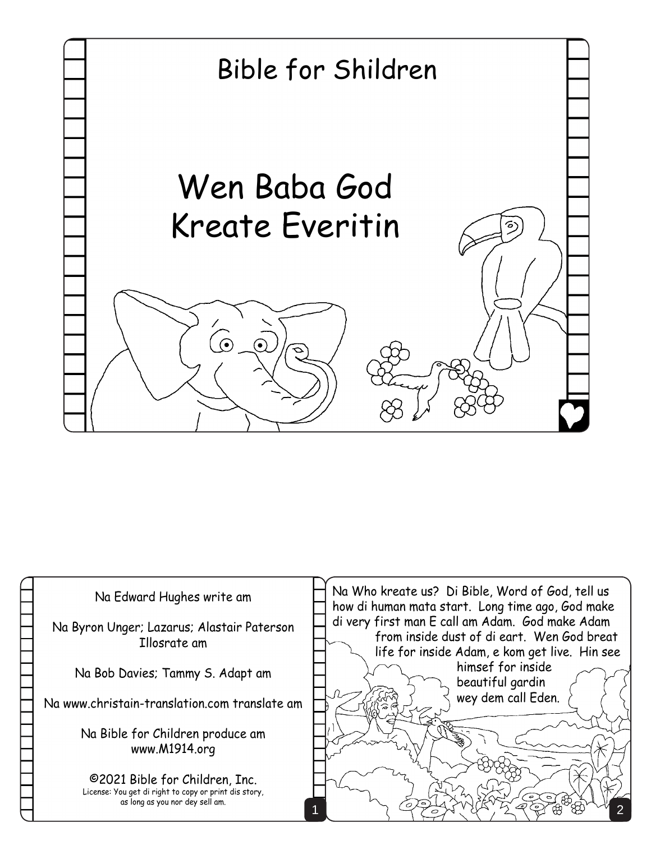

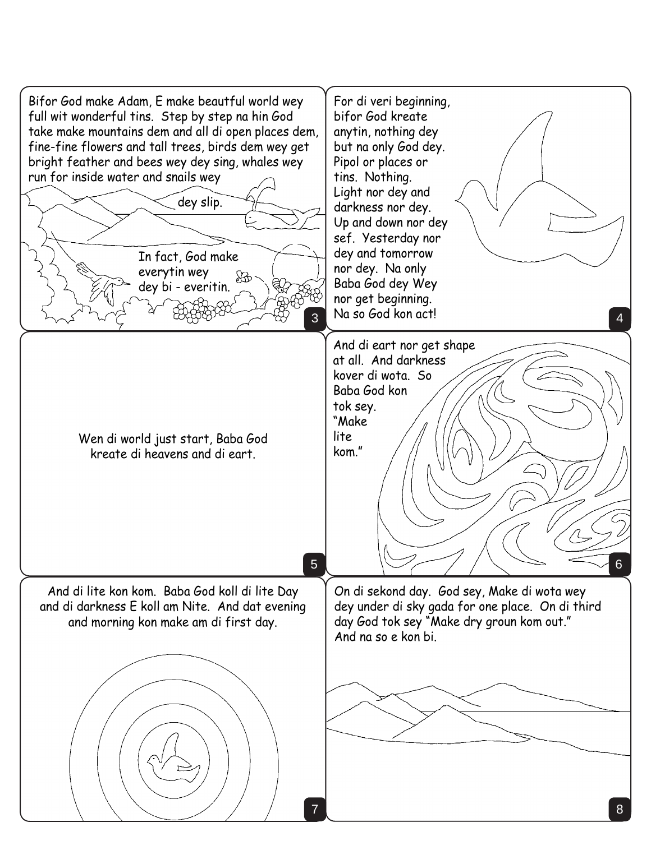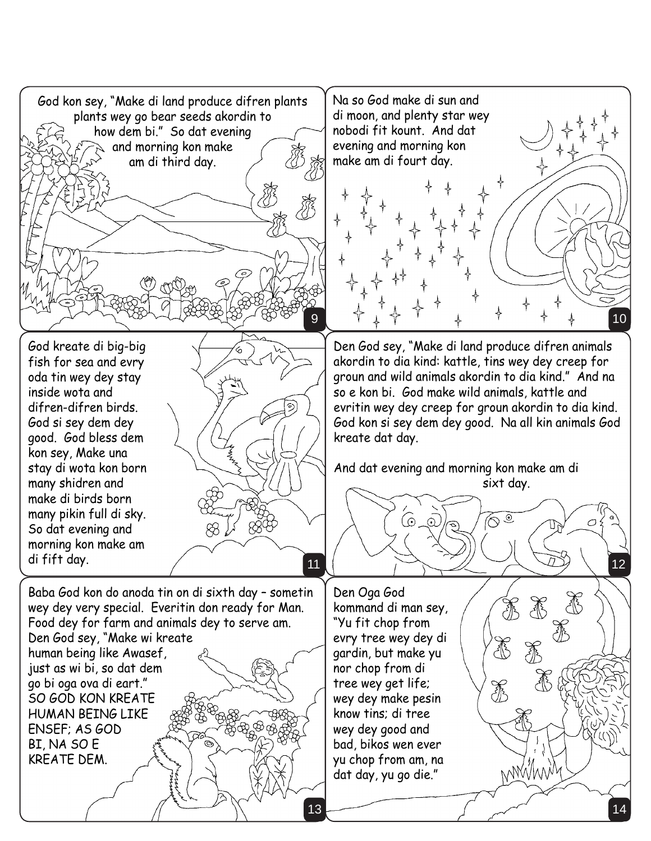![](_page_2_Picture_0.jpeg)